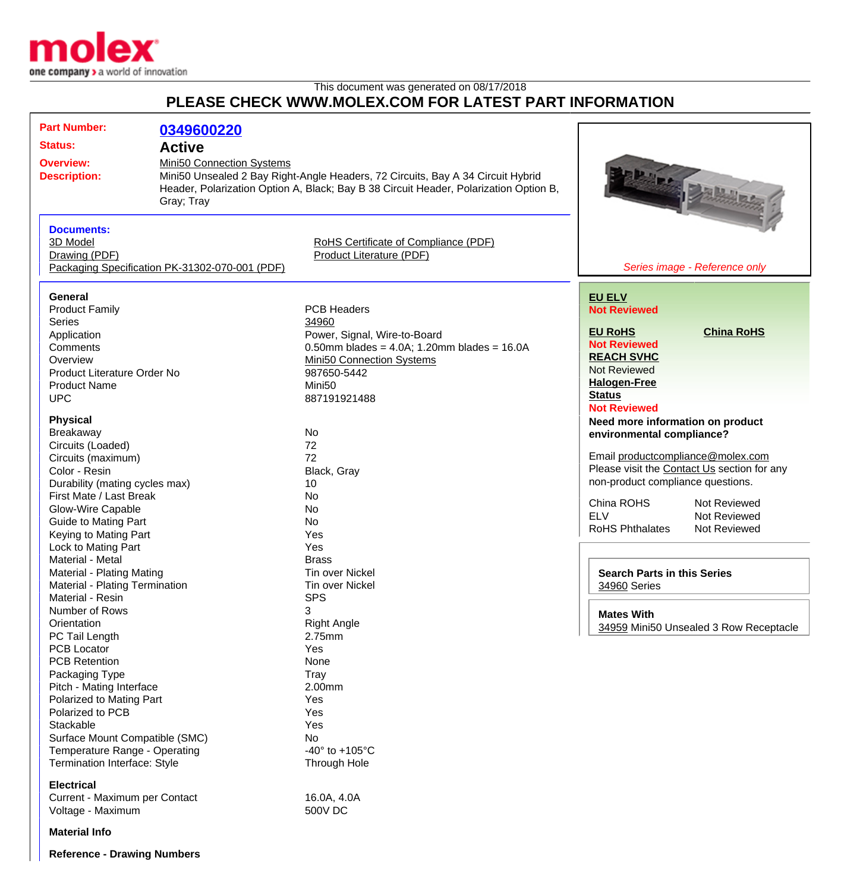

## This document was generated on 08/17/2018 **PLEASE CHECK WWW.MOLEX.COM FOR LATEST PART INFORMATION**

| <b>Part Number:</b>            |                                                                                 |                                                                                       |                                    |                                             |  |
|--------------------------------|---------------------------------------------------------------------------------|---------------------------------------------------------------------------------------|------------------------------------|---------------------------------------------|--|
|                                | 0349600220                                                                      |                                                                                       |                                    |                                             |  |
| <b>Status:</b>                 | <b>Active</b>                                                                   |                                                                                       |                                    |                                             |  |
| <b>Overview:</b>               | Mini50 Connection Systems                                                       |                                                                                       |                                    |                                             |  |
| <b>Description:</b>            | Mini50 Unsealed 2 Bay Right-Angle Headers, 72 Circuits, Bay A 34 Circuit Hybrid |                                                                                       |                                    |                                             |  |
|                                |                                                                                 | Header, Polarization Option A, Black; Bay B 38 Circuit Header, Polarization Option B, |                                    |                                             |  |
|                                | Gray; Tray                                                                      |                                                                                       |                                    |                                             |  |
|                                |                                                                                 |                                                                                       |                                    |                                             |  |
| <b>Documents:</b>              |                                                                                 |                                                                                       |                                    |                                             |  |
| 3D Model                       |                                                                                 |                                                                                       |                                    |                                             |  |
|                                |                                                                                 | RoHS Certificate of Compliance (PDF)                                                  |                                    |                                             |  |
| Drawing (PDF)                  |                                                                                 | <b>Product Literature (PDF)</b>                                                       |                                    |                                             |  |
|                                | Packaging Specification PK-31302-070-001 (PDF)                                  |                                                                                       |                                    | Series image - Reference only               |  |
|                                |                                                                                 |                                                                                       |                                    |                                             |  |
| General                        |                                                                                 |                                                                                       | <b>EU ELV</b>                      |                                             |  |
| <b>Product Family</b>          |                                                                                 | <b>PCB Headers</b>                                                                    | <b>Not Reviewed</b>                |                                             |  |
| <b>Series</b>                  |                                                                                 | 34960                                                                                 |                                    |                                             |  |
| Application                    |                                                                                 | Power, Signal, Wire-to-Board                                                          | <b>EU RoHS</b>                     | <b>China RoHS</b>                           |  |
| Comments                       |                                                                                 | $0.50$ mm blades = 4.0A; 1.20mm blades = 16.0A                                        | <b>Not Reviewed</b>                |                                             |  |
| Overview                       |                                                                                 | Mini50 Connection Systems                                                             | <b>REACH SVHC</b>                  |                                             |  |
| Product Literature Order No    |                                                                                 | 987650-5442                                                                           | <b>Not Reviewed</b>                |                                             |  |
| <b>Product Name</b>            |                                                                                 | Mini <sub>50</sub>                                                                    | <b>Halogen-Free</b>                |                                             |  |
| <b>UPC</b>                     |                                                                                 | 887191921488                                                                          | <b>Status</b>                      |                                             |  |
|                                |                                                                                 |                                                                                       | <b>Not Reviewed</b>                |                                             |  |
| <b>Physical</b>                |                                                                                 |                                                                                       | Need more information on product   |                                             |  |
| Breakaway                      |                                                                                 | <b>No</b>                                                                             | environmental compliance?          |                                             |  |
| Circuits (Loaded)              |                                                                                 | 72                                                                                    |                                    |                                             |  |
| Circuits (maximum)             |                                                                                 | 72                                                                                    | Email productcompliance@molex.com  |                                             |  |
| Color - Resin                  |                                                                                 | Black, Gray                                                                           |                                    | Please visit the Contact Us section for any |  |
| Durability (mating cycles max) |                                                                                 | 10                                                                                    | non-product compliance questions.  |                                             |  |
| First Mate / Last Break        |                                                                                 | No                                                                                    |                                    |                                             |  |
|                                |                                                                                 | <b>No</b>                                                                             | China ROHS                         | Not Reviewed                                |  |
| Glow-Wire Capable              |                                                                                 |                                                                                       | <b>ELV</b>                         | <b>Not Reviewed</b>                         |  |
| <b>Guide to Mating Part</b>    |                                                                                 | <b>No</b>                                                                             | <b>RoHS Phthalates</b>             | Not Reviewed                                |  |
| Keying to Mating Part          |                                                                                 | Yes                                                                                   |                                    |                                             |  |
| Lock to Mating Part            |                                                                                 | Yes                                                                                   |                                    |                                             |  |
| Material - Metal               |                                                                                 | <b>Brass</b>                                                                          |                                    |                                             |  |
| Material - Plating Mating      |                                                                                 | <b>Tin over Nickel</b>                                                                | <b>Search Parts in this Series</b> |                                             |  |
| Material - Plating Termination |                                                                                 | Tin over Nickel                                                                       | 34960 Series                       |                                             |  |
| Material - Resin               |                                                                                 | <b>SPS</b>                                                                            |                                    |                                             |  |
| Number of Rows                 |                                                                                 | 3                                                                                     | <b>Mates With</b>                  |                                             |  |
| Orientation                    |                                                                                 | <b>Right Angle</b>                                                                    |                                    | 34959 Mini50 Unsealed 3 Row Receptacle      |  |
| PC Tail Length                 |                                                                                 | 2.75mm                                                                                |                                    |                                             |  |
| <b>PCB Locator</b>             |                                                                                 | Yes                                                                                   |                                    |                                             |  |
| <b>PCB Retention</b>           |                                                                                 | None                                                                                  |                                    |                                             |  |
| Packaging Type                 |                                                                                 | Tray                                                                                  |                                    |                                             |  |
| Pitch - Mating Interface       |                                                                                 | 2.00mm                                                                                |                                    |                                             |  |
| Polarized to Mating Part       |                                                                                 | Yes                                                                                   |                                    |                                             |  |
| Polarized to PCB               |                                                                                 | Yes                                                                                   |                                    |                                             |  |
|                                |                                                                                 |                                                                                       |                                    |                                             |  |
| Stackable                      |                                                                                 | Yes                                                                                   |                                    |                                             |  |
| Surface Mount Compatible (SMC) |                                                                                 | No                                                                                    |                                    |                                             |  |
| Temperature Range - Operating  |                                                                                 | -40 $\degree$ to +105 $\degree$ C                                                     |                                    |                                             |  |
| Termination Interface: Style   |                                                                                 | Through Hole                                                                          |                                    |                                             |  |
| <b>Electrical</b>              |                                                                                 |                                                                                       |                                    |                                             |  |
| Current - Maximum per Contact  |                                                                                 | 16.0A, 4.0A                                                                           |                                    |                                             |  |
| Voltage - Maximum              |                                                                                 | 500V DC                                                                               |                                    |                                             |  |
|                                |                                                                                 |                                                                                       |                                    |                                             |  |
| <b>Material Info</b>           |                                                                                 |                                                                                       |                                    |                                             |  |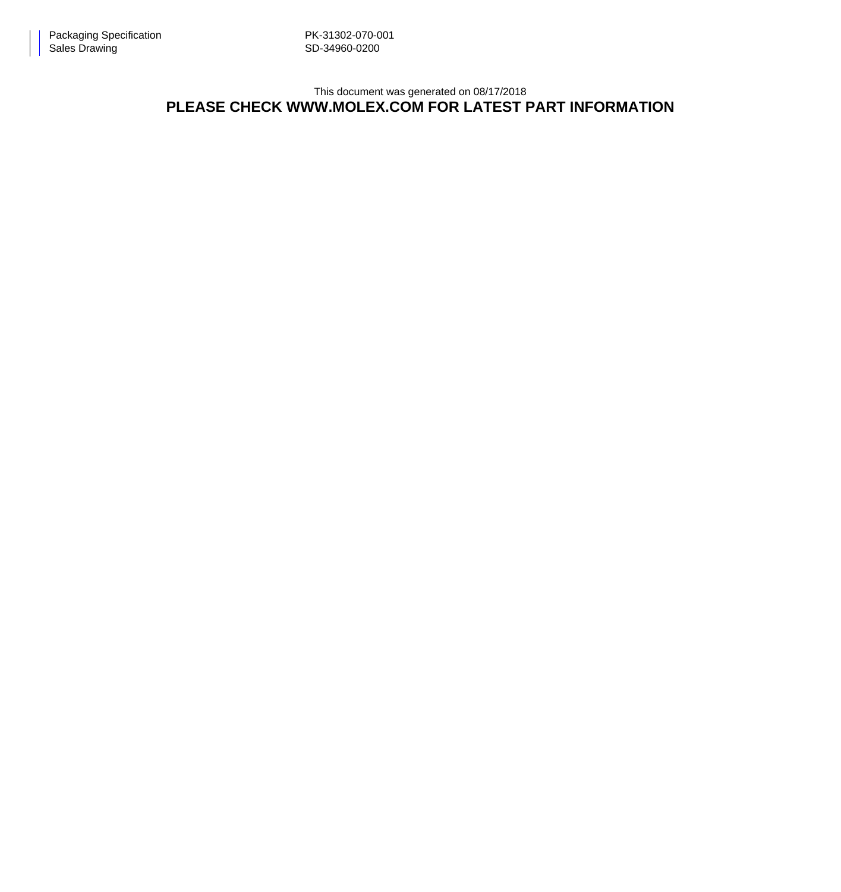## This document was generated on 08/17/2018 **PLEASE CHECK WWW.MOLEX.COM FOR LATEST PART INFORMATION**